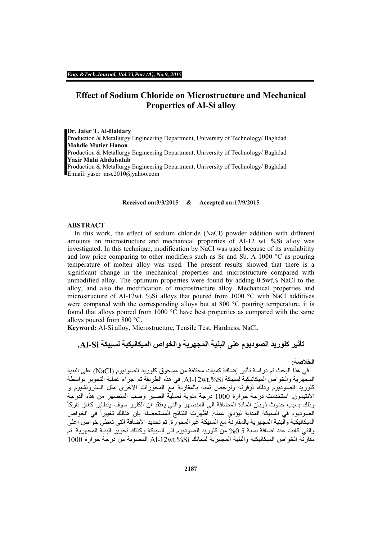# **Effect of Sodium Chloride on Microstructure and Mechanical Properties of Al-Si alloy**

#### **Dr. Jafer T. Al-Haidary**

Production & Metallurgy Engineering Department, University of Technology/ Baghdad **Mahdie Mutier Hanon**  Production & Metallurgy Engineering Department, University of Technology/ Baghdad **Yasir Muhi Abdulsahib**  Production & Metallurgy Engineering Department, University of Technology/ Baghdad E:mail: yaser\_msc2010@yahoo.com

#### **Received on:3/3/2015 & Accepted on:17/9/2015**

#### **ABSTRACT**

 In this work, the effect of sodium chloride (NaCl) powder addition with different amounts on microstructure and mechanical properties of Al-12 wt. %Si alloy was investigated. In this technique, modification by NaCl was used because of its availability and low price comparing to other modifiers such as Sr and Sb. A 1000 °C as pouring temperature of molten alloy was used. The present results showed that there is a significant change in the mechanical properties and microstructure compared with unmodified alloy. The optimum properties were found by adding 0.5wt% NaCl to the alloy, and also the modification of microstructure alloy. Mechanical properties and microstructure of Al-12wt. %Si alloys that poured from 1000 °C with NaCl additives were compared with the corresponding alloys but at 800  $^{\circ}$ C pouring temperature, it is found that alloys poured from 1000 °C have best properties as compared with the same alloys poured from 800 °C.

**Keyword:** Al-Si alloy, Microstructure, Tensile Test, Hardness, NaCl.

# **تأثير كلوريد الصوديوم على البنية المجھرية والخواص الميكانيكية لسبيكة Si-Al.**

## **الخالصة:**

 في ھذا البحث تم دراسة تأثير إضافة كميات مختلفة من مسحوق كلوريد الصوديوم (NaCl (على البنية المجھرية والخواص الميكانيكية لسبيكة Si.%wt-12Al. في ھذه الطريقة تم اجراء عملية التحوير بواسطة كلوريد الصوديوم وذلك لوفرته ولرخص ثمنه بالمقارنة مع المحورات االخرى مثل السترونشيوم و الانتيمون<sub>.</sub> استخدمت درجة حرارة 1000 درجة مئوية لعملية الصهر وصب المنصهر من هذه الدرجة<br>وذلك بسبب حدوث ذوبان المادة المضافة الى المنصهر والتي يعتقد ان الكلور سوف يتطاير كغاز تاركاً الصوديوم في السبيكة المذابة ليؤدي عمله. اظهرت النتائج المستحصلة بان هنالك تغييراً في الخواص الميكانيكية والبنية المجھرية بالمقارنة مع السبيكة غيرالمحورة. تم تحديد االضافة التي تعطي خواص اعلى والتي كانت عند اضافة نسبة 0.5% من كلوريد الصوديوم الى السبيكة وكذلك تحوير البنية المجهرية. تم  $\sim 1000$  مقارنة الخواص الميكانيكية والبنية المجھرية لسبائك Al-12wt. $\%$ Si المصوبة من درجة حرار ة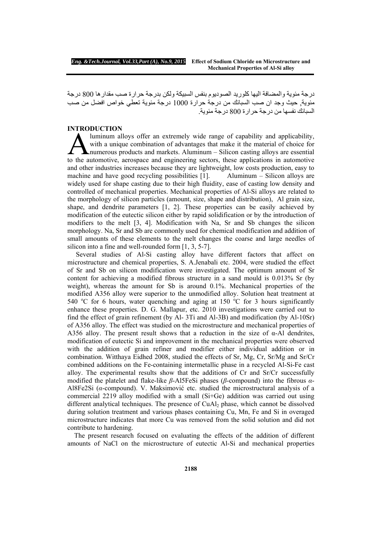درجة مئوية والمضافة اليھا كلوريد الصوديوم بنفس السبيكة ولكن بدرجة حرارة صب مقدارھا 800 درجة مئوية, حيث وجد ان صب السبائك من درجة حرارة 1000 درجة مئوية تعطي خواص افضل من صب السبائك نفسھا من درجة حرارة 800 درجة مئوية.

## **INTRODUCTION**

luminum alloys offer an extremely wide range of capability and applicability, with a unique combination of advantages that make it the material of choice for numerous products and markets. Aluminum – Silicon casting alloys are essential Auminum alloys offer an extremely wide range of capability and applicability,<br>with a unique combination of advantages that make it the material of choice for<br>the automotive, aerospace and engineering sectors, these applica and other industries increases because they are lightweight, low costs production, easy to machine and have good recycling possibilities [1]. Aluminum – Silicon alloys are widely used for shape casting due to their high fluidity, ease of casting low density and controlled of mechanical properties. Mechanical properties of Al-Si alloys are related to the morphology of silicon particles (amount, size, shape and distribution), Al grain size, shape, and dendrite parameters [1, 2]. These properties can be easily achieved by modification of the eutectic silicon either by rapid solidification or by the introduction of modifiers to the melt [3, 4]. Modification with Na, Sr and Sb changes the silicon morphology. Na, Sr and Sb are commonly used for chemical modification and addition of small amounts of these elements to the melt changes the coarse and large needles of silicon into a fine and well-rounded form [1, 3, 5-7].

 Several studies of Al-Si casting alloy have different factors that affect on microstructure and chemical properties, S. A.Jenabali etc. 2004, were studied the effect of Sr and Sb on silicon modification were investigated. The optimum amount of Sr content for achieving a modified fibrous structure in a sand mould is 0.013% Sr (by weight), whereas the amount for Sb is around 0.1%. Mechanical properties of the modified A356 alloy were superior to the unmodified alloy. Solution heat treatment at 540 °C for 6 hours, water quenching and aging at 150 °C for 3 hours significantly enhance these properties. D. G. Mallapur, etc. 2010 investigations were carried out to find the effect of grain refinement (by Al- 3Ti and Al-3B) and modification (by Al-10Sr) of A356 alloy. The effect was studied on the microstructure and mechanical properties of A356 alloy. The present result shows that a reduction in the size of  $\alpha$ -Al dendrites, modification of eutectic Si and improvement in the mechanical properties were observed with the addition of grain refiner and modifier either individual addition or in combination. Witthaya Eidhed 2008, studied the effects of Sr, Mg, Cr, Sr/Mg and Sr/Cr combined additions on the Fe-containing intermetallic phase in a recycled Al-Si-Fe cast alloy. The experimental results show that the additions of Cr and Sr/Cr successfully modified the platelet and flake-like *β*-Al5FeSi phases (*β*-compound) into the fibrous *α*-Al8Fe2Si (*α*-compound). V. Maksimović etc. studied the microstructural analysis of a commercial 2219 alloy modified with a small (Si+Ge) addition was carried out using different analytical techniques. The presence of CuAl<sub>2</sub> phase, which cannot be dissolved during solution treatment and various phases containing Cu, Mn, Fe and Si in overaged microstructure indicates that more Cu was removed from the solid solution and did not contribute to hardening.

 The present research focused on evaluating the effects of the addition of different amounts of NaCl on the microstructure of eutectic Al-Si and mechanical properties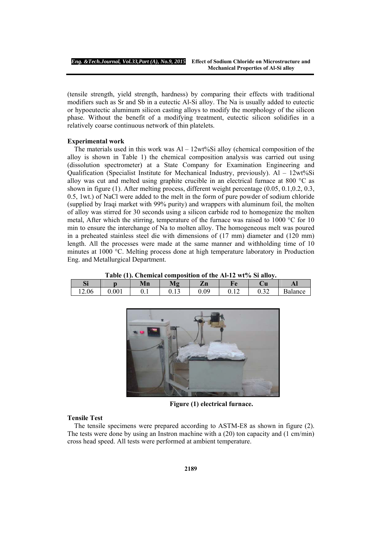(tensile strength, yield strength, hardness) by comparing their effects with traditional modifiers such as Sr and Sb in a eutectic Al-Si alloy. The Na is usually added to eutectic or hypoeutectic aluminum silicon casting alloys to modify the morphology of the silicon phase. Without the benefit of a modifying treatment, eutectic silicon solidifies in a relatively coarse continuous network of thin platelets.

#### **Experimental work**

The materials used in this work was  $Al - 12wt\% Si$  alloy (chemical composition of the alloy is shown in Table 1) the chemical composition analysis was carried out using (dissolution spectrometer) at a State Company for Examination Engineering and Qualification (Specialist Institute for Mechanical Industry, previously).  $Al - 12wt\%Si$ alloy was cut and melted using graphite crucible in an electrical furnace at 800 °C as shown in figure (1). After melting process, different weight percentage (0.05, 0.1,0.2, 0.3, 0.5, 1wt.) of NaCl were added to the melt in the form of pure powder of sodium chloride (supplied by Iraqi market with 99% purity) and wrappers with aluminum foil, the molten of alloy was stirred for 30 seconds using a silicon carbide rod to homogenize the molten metal, After which the stirring, temperature of the furnace was raised to 1000 °C for 10 min to ensure the interchange of Na to molten alloy. The homogeneous melt was poured in a preheated stainless steel die with dimensions of (17 mm) diameter and (120 mm) length. All the processes were made at the same manner and withholding time of 10 minutes at 1000 °C. Melting process done at high temperature laboratory in Production Eng. and Metallurgical Department.

**Table (1). Chemical composition of the Al-12 wt% Si alloy.**  Si p | Mn | Mg | Zn | Fe | Cu | Al 12.06 0.001 0.1 0.13 0.09 0.12 0.32 Balance



**Figure (1) electrical furnace.**

## **Tensile Test**

 The tensile specimens were prepared according to ASTM-E8 as shown in figure (2). The tests were done by using an Instron machine with a (20) ton capacity and (1 cm/min) cross head speed. All tests were performed at ambient temperature.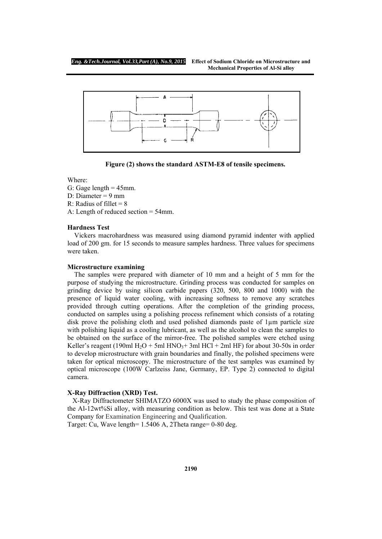

**Figure (2) shows the standard ASTM-E8 of tensile specimens.** 

## Where:

- G: Gage length  $= 45$ mm.
- D: Diameter = 9 mm
- R: Radius of fillet  $= 8$
- A: Length of reduced section = 54mm.

### **Hardness Test**

 Vickers macrohardness was measured using diamond pyramid indenter with applied load of 200 gm. for 15 seconds to measure samples hardness. Three values for specimens were taken.

#### **Microstructure examining**

 The samples were prepared with diameter of 10 mm and a height of 5 mm for the purpose of studying the microstructure. Grinding process was conducted for samples on grinding device by using silicon carbide papers (320, 500, 800 and 1000) with the presence of liquid water cooling, with increasing softness to remove any scratches provided through cutting operations. After the completion of the grinding process, conducted on samples using a polishing process refinement which consists of a rotating disk prove the polishing cloth and used polished diamonds paste of 1µm particle size with polishing liquid as a cooling lubricant, as well as the alcohol to clean the samples to be obtained on the surface of the mirror-free. The polished samples were etched using Keller's reagent (190ml H<sub>2</sub>O + 5ml HNO<sub>3</sub>+ 3ml HCl + 2ml HF) for about 30-50s in order to develop microstructure with grain boundaries and finally, the polished specimens were taken for optical microscopy. The microstructure of the test samples was examined by optical microscope (100W Carlzeiss Jane, Germany, EP. Type 2) connected to digital camera.

### **X-Ray Diffraction (XRD) Test.**

 X-Ray Diffractometer SHIMATZO 6000X was used to study the phase composition of the Al-12wt%Si alloy, with measuring condition as below. This test was done at a State Company for Examination Engineering and Qualification.

Target: Cu, Wave length= 1.5406 A, 2Theta range= 0-80 deg.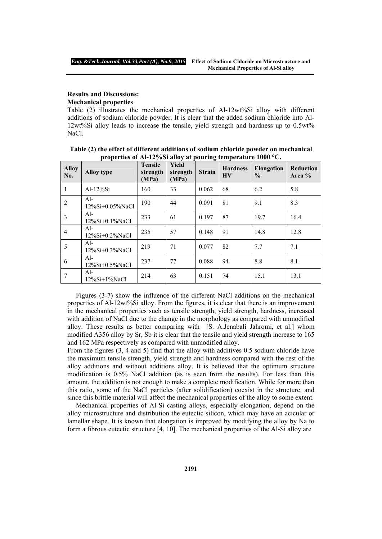## **Results and Discussions: Mechanical properties**

Table (2) illustrates the mechanical properties of Al-12wt%Si alloy with different additions of sodium chloride powder. It is clear that the added sodium chloride into Al-12wt%Si alloy leads to increase the tensile, yield strength and hardness up to 0.5wt% NaCl.

| <b>Alloy</b><br>No. | <b>Alloy type</b>           | <b>Tensile</b><br>strength<br>(MPa) | <b>Yield</b><br>strength<br>(MPa) | <b>Strain</b> | <b>Hardness</b><br><b>HV</b> | <b>Elongation</b><br>$\frac{0}{0}$ | <b>Reduction</b><br>Area % |
|---------------------|-----------------------------|-------------------------------------|-----------------------------------|---------------|------------------------------|------------------------------------|----------------------------|
|                     | Al-12%Si                    | 160                                 | 33                                | 0.062         | 68                           | 6.2                                | 5.8                        |
| $\overline{2}$      | Al-<br>12%Si+0.05%NaCl      | 190                                 | 44                                | 0.091         | 81                           | 9.1                                | 8.3                        |
| 3                   | $Al-$<br>$12\%Si+0.1\%NaCl$ | 233                                 | 61                                | 0.197         | 87                           | 19.7                               | 16.4                       |
| $\overline{4}$      | $Al-$<br>$12\%Si+0.2\%NaCl$ | 235                                 | 57                                | 0.148         | 91                           | 14.8                               | 12.8                       |
| 5                   | $Al-$<br>$12\%Si+0.3\%NaCl$ | 219                                 | 71                                | 0.077         | 82                           | 7.7                                | 7.1                        |
| 6                   | $Al-$<br>$12\%Si+0.5\%NaCl$ | 237                                 | 77                                | 0.088         | 94                           | 8.8                                | 8.1                        |
| 7                   | $Al-$<br>$12\%Si+1\%NaCl$   | 214                                 | 63                                | 0.151         | 74                           | 15.1                               | 13.1                       |

**Table (2) the effect of different additions of sodium chloride powder on mechanical properties of Al-12%Si alloy at pouring temperature 1000 °C.** 

 Figures (3-7) show the influence of the different NaCl additions on the mechanical properties of Al-12wt%Si alloy. From the figures, it is clear that there is an improvement in the mechanical properties such as tensile strength, yield strength, hardness, increased with addition of NaCl due to the change in the morphology as compared with unmodified alloy. These results as better comparing with [S. A.Jenabali Jahromi, et al.] whom modified A356 alloy by Sr, Sb it is clear that the tensile and yield strength increase to 165 and 162 MPa respectively as compared with unmodified alloy.

From the figures (3, 4 and 5) find that the alloy with additives 0.5 sodium chloride have the maximum tensile strength, yield strength and hardness compared with the rest of the alloy additions and without additions alloy. It is believed that the optimum structure modification is 0.5% NaCl addition (as is seen from the results). For less than this amount, the addition is not enough to make a complete modification. While for more than this ratio, some of the NaCl particles (after solidification) coexist in the structure, and since this brittle material will affect the mechanical properties of the alloy to some extent.

 Mechanical properties of Al-Si casting alloys, especially elongation, depend on the alloy microstructure and distribution the eutectic silicon, which may have an acicular or lamellar shape. It is known that elongation is improved by modifying the alloy by Na to form a fibrous eutectic structure [4, 10]. The mechanical properties of the Al-Si alloy are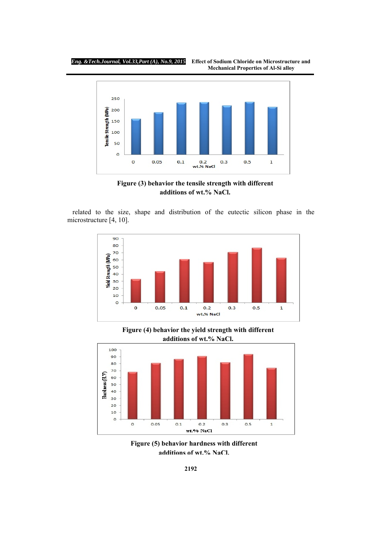





 related to the size, shape and distribution of the eutectic silicon phase in the microstructure [4, 10].



**Figure (4) behavior the yield strength with different additions of wt.% NaCl.**



**Figure (5) behavior hardness with different additions of wt.% NaCl.**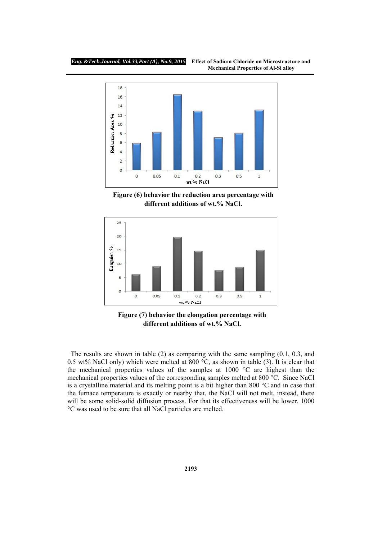

**Figure (6) behavior the reduction area percentage with different additions of wt.% NaCl.** 



**Figure (7) behavior the elongation percentage with different additions of wt.% NaCl.**

 The results are shown in table (2) as comparing with the same sampling (0.1, 0.3, and 0.5 wt% NaCl only) which were melted at 800  $^{\circ}$ C, as shown in table (3). It is clear that the mechanical properties values of the samples at 1000 °C are highest than the mechanical properties values of the corresponding samples melted at 800 °C. Since NaCl is a crystalline material and its melting point is a bit higher than 800 °C and in case that the furnace temperature is exactly or nearby that, the NaCl will not melt, instead, there will be some solid-solid diffusion process. For that its effectiveness will be lower. 1000 °C was used to be sure that all NaCl particles are melted.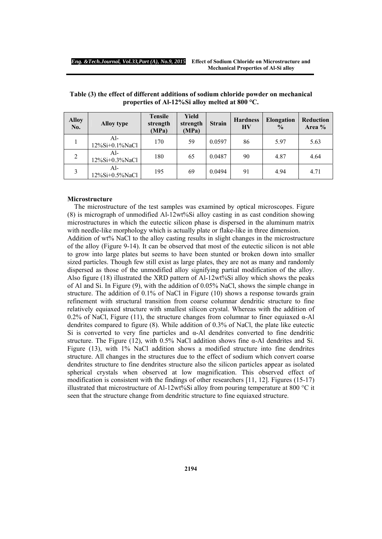| <b>Alloy</b><br>No. | <b>Alloy type</b>     | <b>Tensile</b><br>strength<br>(MPa) | Yield<br>strength<br>(MPa) | <b>Strain</b> | <b>Hardness</b><br><b>HV</b> | <b>Elongation</b><br>$\frac{0}{0}$ | <b>Reduction</b><br>Area % |
|---------------------|-----------------------|-------------------------------------|----------------------------|---------------|------------------------------|------------------------------------|----------------------------|
|                     | Al-<br>12%Si+0.1%NaCl | 170                                 | 59                         | 0.0597        | 86                           | 5.97                               | 5.63                       |
| $\overline{2}$      | Al-<br>12%Si+0.3%NaCl | 180                                 | 65                         | 0.0487        | 90                           | 4.87                               | 4.64                       |
| 3                   | Al-<br>12%Si+0.5%NaCl | 195                                 | 69                         | 0.0494        | 91                           | 4.94                               | 4.71                       |

**Table (3) the effect of different additions of sodium chloride powder on mechanical properties of Al-12%Si alloy melted at 800 °C.** 

## **Microstructure**

 The microstructure of the test samples was examined by optical microscopes. Figure (8) is micrograph of unmodified Al-12wt%Si alloy casting in as cast condition showing microstructures in which the eutectic silicon phase is dispersed in the aluminum matrix with needle-like morphology which is actually plate or flake-like in three dimension.

Addition of wt% NaCl to the alloy casting results in slight changes in the microstructure of the alloy (Figure 9-14). It can be observed that most of the eutectic silicon is not able to grow into large plates but seems to have been stunted or broken down into smaller sized particles. Though few still exist as large plates, they are not as many and randomly dispersed as those of the unmodified alloy signifying partial modification of the alloy. Also figure (18) illustrated the XRD pattern of Al-12wt%Si alloy which shows the peaks of Al and Si. In Figure (9), with the addition of 0.05% NaCl, shows the simple change in structure. The addition of 0.1% of NaCl in Figure (10) shows a response towards grain refinement with structural transition from coarse columnar dendritic structure to fine relatively equiaxed structure with smallest silicon crystal. Whereas with the addition of 0.2% of NaCl, Figure (11), the structure changes from columnar to finer equiaxed  $\alpha$ -Al dendrites compared to figure (8). While addition of 0.3% of NaCl, the plate like eutectic Si is converted to very fine particles and  $\alpha$ -Al dendrites converted to fine dendritic structure. The Figure (12), with 0.5% NaCl addition shows fine  $\alpha$ -Al dendrites and Si. Figure (13), with 1% NaCl addition shows a modified structure into fine dendrites structure. All changes in the structures due to the effect of sodium which convert coarse dendrites structure to fine dendrites structure also the silicon particles appear as isolated spherical crystals when observed at low magnification. This observed effect of modification is consistent with the findings of other researchers [11, 12]. Figures (15-17) illustrated that microstructure of Al-12wt%Si alloy from pouring temperature at 800  $^{\circ}$ C it seen that the structure change from dendritic structure to fine equiaxed structure.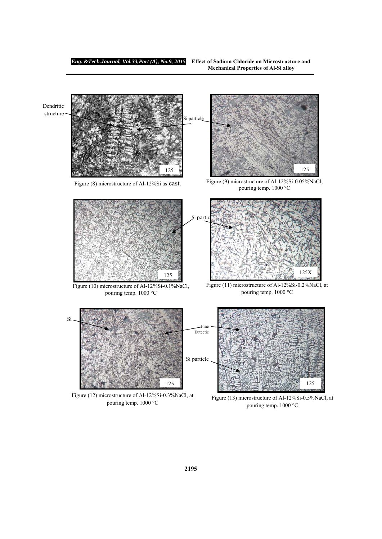Dendritic structure

Si partio Figure (8) microstructure of Al-12%Si as cast. 125 i particle Figure (9) microstructure of Al-12%Si-0.05%NaCl, pouring temp. 1000 °C 125

125

Figure (10) microstructure of Al-12%Si-0.1%NaCl, pouring temp. 1000 °C

Figure (11) microstructure of Al-12%Si-0.2%NaCl, at pouring temp. 1000 °C

125X



Figure (12) microstructure of Al-12%Si-0.3%NaCl, at pouring temp. 1000 °C

Figure (13) microstructure of Al-12%Si-0.5%NaCl, at pouring temp. 1000 °C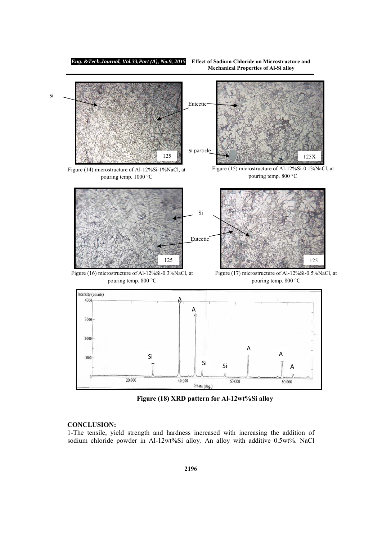*Eng. &Tech.Journal, Vol.33,Part (A), No.9, 2015* **Effect of Sodium Chloride on Microstructure and** 

 **Mechanical Properties of Al-Si alloy** 



**Figure (18) XRD pattern for Al-12wt%Si alloy**

# **CONCLUSION:**

1-The tensile, yield strength and hardness increased with increasing the addition of sodium chloride powder in Al-12wt%Si alloy. An alloy with additive 0.5wt%. NaCl